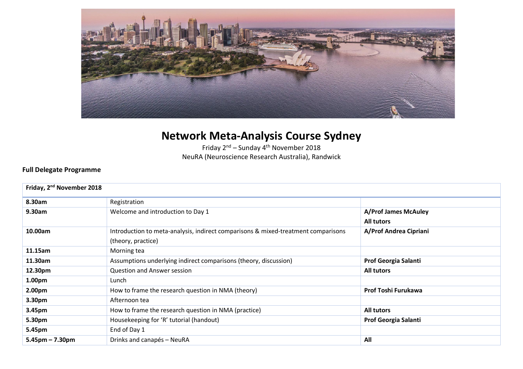

## **Network Meta-Analysis Course Sydney**

Friday  $2^{nd}$  – Sunday  $4^{th}$  November 2018 NeuRA (Neuroscience Research Australia), Randwick

## **Full Delegate Programme**

| Friday, 2 <sup>nd</sup> November 2018 |                                                                                   |                             |  |  |
|---------------------------------------|-----------------------------------------------------------------------------------|-----------------------------|--|--|
| 8.30am                                | Registration                                                                      |                             |  |  |
| 9.30am                                | Welcome and introduction to Day 1                                                 | <b>A/Prof James McAuley</b> |  |  |
|                                       |                                                                                   | <b>All tutors</b>           |  |  |
| 10.00am                               | Introduction to meta-analysis, indirect comparisons & mixed-treatment comparisons | A/Prof Andrea Cipriani      |  |  |
|                                       | (theory, practice)                                                                |                             |  |  |
| 11.15am                               | Morning tea                                                                       |                             |  |  |
| 11.30am                               | Assumptions underlying indirect comparisons (theory, discussion)                  | Prof Georgia Salanti        |  |  |
| 12.30pm                               | <b>Question and Answer session</b>                                                | <b>All tutors</b>           |  |  |
| 1.00pm                                | Lunch                                                                             |                             |  |  |
| 2.00pm                                | How to frame the research question in NMA (theory)                                | Prof Toshi Furukawa         |  |  |
| 3.30pm                                | Afternoon tea                                                                     |                             |  |  |
| 3.45pm                                | How to frame the research question in NMA (practice)                              | <b>All tutors</b>           |  |  |
| 5.30pm                                | Housekeeping for 'R' tutorial (handout)                                           | Prof Georgia Salanti        |  |  |
| 5.45pm                                | End of Day 1                                                                      |                             |  |  |
| $5.45$ pm – 7.30pm                    | Drinks and canapés - NeuRA                                                        | All                         |  |  |